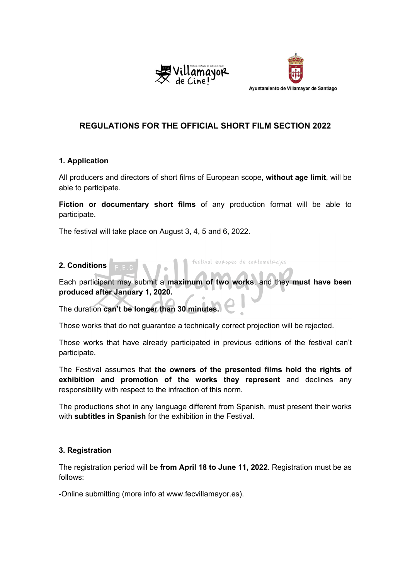



# **REGULATIONS FOR THE OFFICIAL SHORT FILM SECTION 2022**

### **1. Application**

All producers and directors of short films of European scope, **without age limit**, will be able to participate.

**Fiction or documentary short films** of any production format will be able to participate.

The festival will take place on August 3, 4, 5 and 6, 2022.

### **2. Conditions**

Each participant may submit a **maximum of two works**, and they **must have been produced after January 1, 2020.**

festival europeo de cortometrajes

The duration **can't be longer than 30 minutes.**

Those works that do not guarantee a technically correct projection will be rejected.

Those works that have already participated in previous editions of the festival can't participate.

The Festival assumes that **the owners of the presented films hold the rights of exhibition and promotion of the works they represent** and declines any responsibility with respect to the infraction of this norm.

The productions shot in any language different from Spanish, must present their works with **subtitles in Spanish** for the exhibition in the Festival.

# **3. Registration**

The registration period will be **from April 18 to June 11, 2022**. Registration must be as follows:

-Online submitting (more info at www.fecvillamayor.es).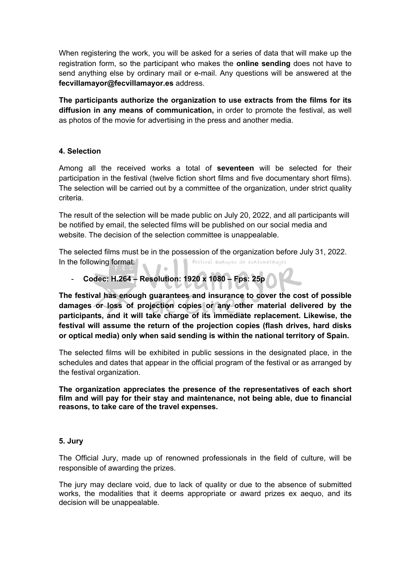When registering the work, you will be asked for a series of data that will make up the registration form, so the participant who makes the **online sending** does not have to send anything else by ordinary mail or e-mail. Any questions will be answered at the **fecvillamayor@fecvillamayor.es** address.

**The participants authorize the organization to use extracts from the films for its diffusion in any means of communication,** in order to promote the festival, as well as photos of the movie for advertising in the press and another media.

# **4. Selection**

Among all the received works a total of **seventeen** will be selected for their participation in the festival (twelve fiction short films and five documentary short films). The selection will be carried out by a committee of the organization, under strict quality criteria.

The result of the selection will be made public on July 20, 2022, and all participants will be notified by email, the selected films will be published on our social media and website. The decision of the selection committee is unappealable.

The selected films must be in the possession of the organization before July 31, 2022. festival europeo de cortometrajes In the following format:

### - **Codec: H.264 – Resolution: 1920 x 1080 – Fps: 25p**

**The festival has enough guarantees and insurance to cover the cost of possible damages or loss of projection copies or any other material delivered by the participants, and it will take charge of its immediate replacement. Likewise, the festival will assume the return of the projection copies (flash drives, hard disks or optical media) only when said sending is within the national territory of Spain.**

The selected films will be exhibited in public sessions in the designated place, in the schedules and dates that appear in the official program of the festival or as arranged by the festival organization.

**The organization appreciates the presence of the representatives of each short film and will pay for their stay and maintenance, not being able, due to financial reasons, to take care of the travel expenses.** 

### **5. Jury**

The Official Jury, made up of renowned professionals in the field of culture, will be responsible of awarding the prizes.

The jury may declare void, due to lack of quality or due to the absence of submitted works, the modalities that it deems appropriate or award prizes ex aequo, and its decision will be unappealable.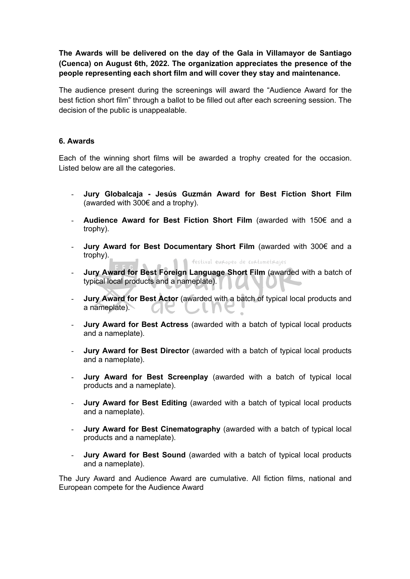**The Awards will be delivered on the day of the Gala in Villamayor de Santiago (Cuenca) on August 6th, 2022. The organization appreciates the presence of the people representing each short film and will cover they stay and maintenance.**

The audience present during the screenings will award the "Audience Award for the best fiction short film" through a ballot to be filled out after each screening session. The decision of the public is unappealable.

### **6. Awards**

Each of the winning short films will be awarded a trophy created for the occasion. Listed below are all the categories.

- **Jury Globalcaja - Jesús Guzmán Award for Best Fiction Short Film** (awarded with 300€ and a trophy).
- **Audience Award for Best Fiction Short Film** (awarded with 150€ and a trophy).
- **Jury Award for Best Documentary Short Film** (awarded with 300€ and a trophy). festival europeo de cortometrajes
- **Jury Award for Best Foreign Language Short Film** (awarded with a batch of typical local products and a nameplate).
- **Jury Award for Best Actor** (awarded with a batch of typical local products and a nameplate).
- **Jury Award for Best Actress** (awarded with a batch of typical local products and a nameplate).
- **Jury Award for Best Director** (awarded with a batch of typical local products and a nameplate).
- Jury Award for Best Screenplay (awarded with a batch of typical local products and a nameplate).
- **Jury Award for Best Editing** (awarded with a batch of typical local products and a nameplate).
- **Jury Award for Best Cinematography** (awarded with a batch of typical local products and a nameplate).
- **Jury Award for Best Sound** (awarded with a batch of typical local products and a nameplate).

The Jury Award and Audience Award are cumulative. All fiction films, national and European compete for the Audience Award